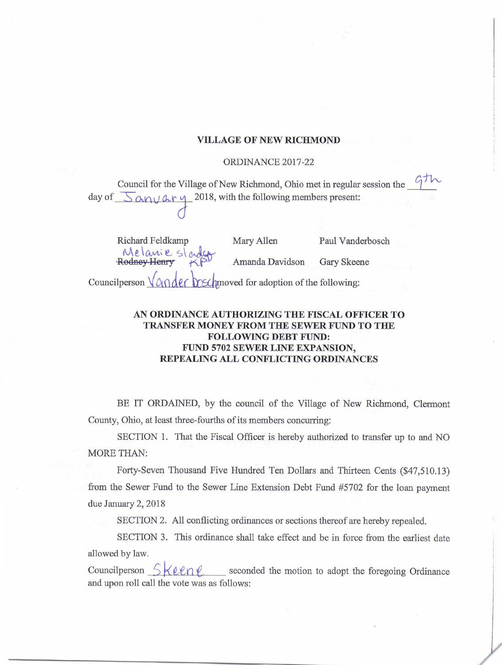## VILLAGE OF NEW RICHMOND

## ORDINANCE 2017-22

|  |  | Council for the Village of New Richmond, Ohio met in regular session the          | $U \cup V$ |
|--|--|-----------------------------------------------------------------------------------|------------|
|  |  | day of $\sum \alpha_{N+1} \alpha_{N-1}$ 2018, with the following members present: |            |
|  |  |                                                                                   |            |

| Richard Feldkamp                                               | Mary Allen      | Paul Vanderbosch |  |  |  |
|----------------------------------------------------------------|-----------------|------------------|--|--|--|
| Melanie slander                                                | Amanda Davidson | Gary Skeene      |  |  |  |
| Councilperson Vander boschmoved for adoption of the following: |                 |                  |  |  |  |

## AN ORDINANCE AUTHORIZING THE FISCAL OFFICER TO TRANSFER MONEY FROM THE SEWER FUND TO THE FOLLOWING DEBT FUND: FUND 5702 SEWER LINE EXPANSION, REPEALING ALL CONFLICTING ORDINANCES

BE IT ORDAINED, by the council of the Village of New Richmond, Clermont County, Ohio, at least three- fourths of its members concurring:

SECTION 1. That the Fiscal Officer is hereby authorized to transfer up to and NO MORE THAN:

Forty-Seven Thousand Five Hundred Ten Dollars and Thirteen Cents (\$47,510.13) from the Sewer Fund to the Sewer Line Extension Debt Fund #5702 for the loan payment due January 2, 2018

SECTION 2. All conflicting ordinances or sections thereof are hereby repealed.

SECTION 3. This ordinance shall take effect and be in force from the earliest date allowed by law.

Councilperson  $\mathcal{S}$  keen  $\ell$  seconded the motion to adopt the foregoing Ordinance and upon roll call the vote was as follows:

l